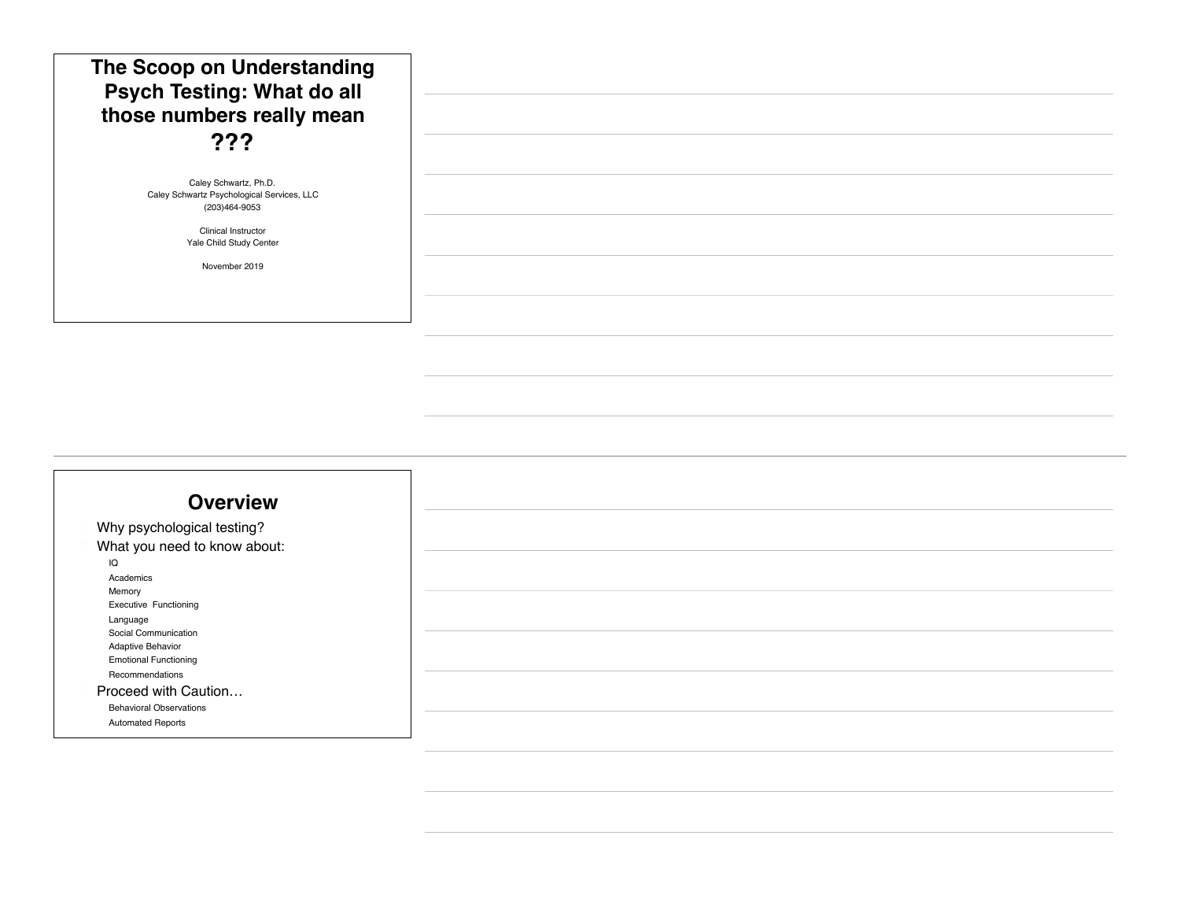| The Scoop on Understanding<br><b>Psych Testing: What do all</b><br>those numbers really mean<br>??? |  |
|-----------------------------------------------------------------------------------------------------|--|
| Caley Schwartz, Ph.D.<br>Caley Schwartz Psychological Services, LLC<br>(203)464-9053                |  |
| <b>Clinical Instructor</b><br>Yale Child Study Center                                               |  |
| November 2019                                                                                       |  |
|                                                                                                     |  |

#### **Overview**

Why psychological testing? What you need to know about: " IQ **Academics Memory** Executive Functioning Language Social Communication Adaptive Behavior Emotional Functioning Recommendations ! Proceed with Caution… **Behavioral Observations** Automated Reports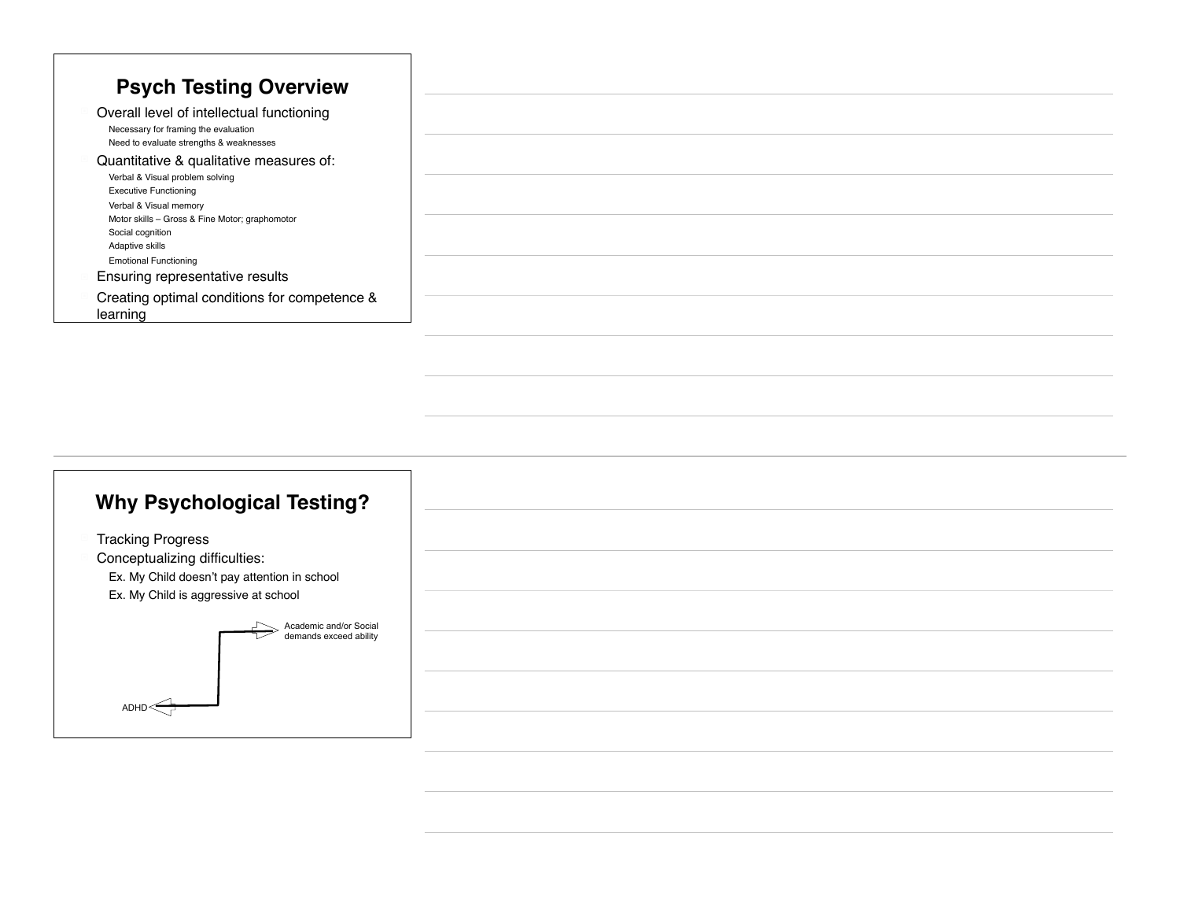## **Why Psychological Testing?**

**Tracking Progress** 

 $ADHD \leq \frac{1}{2}$ 

Conceptualizing difficulties:

Ex. My Child doesn't pay attention in school

Ex. My Child is aggressive at school

Academic and/or Social demands exceed ability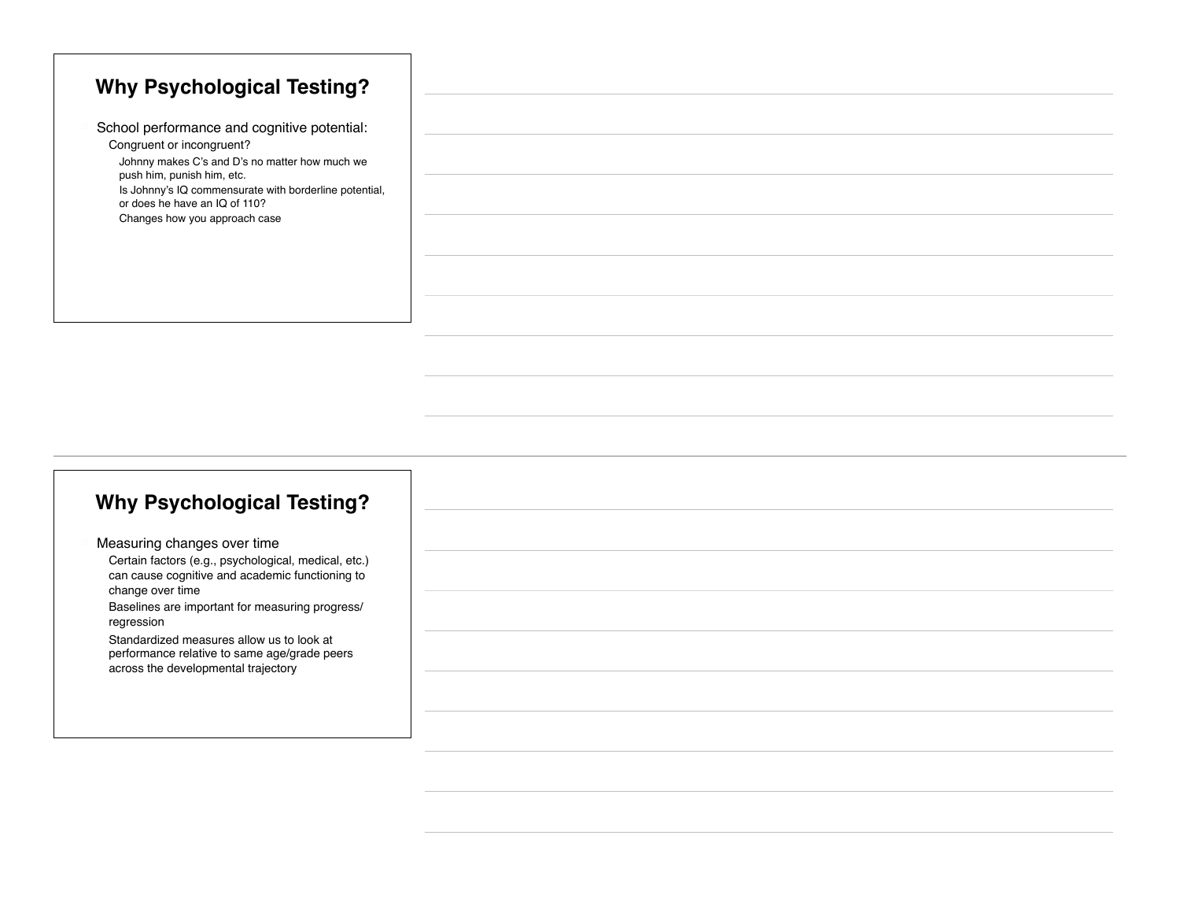|                               | <b>Why Psychological Testing?</b>                      |
|-------------------------------|--------------------------------------------------------|
|                               |                                                        |
| Congruent or incongruent?     | School performance and cognitive potential:            |
|                               | Johnny makes C's and D's no matter how much we         |
| push him, punish him, etc.    | Is Johnny's IQ commensurate with borderline potential, |
| or does he have an IQ of 110? |                                                        |
|                               | Changes how you approach case                          |
|                               |                                                        |
|                               |                                                        |
|                               |                                                        |
|                               |                                                        |

### **Why Psychological Testing?**

Measuring changes over time Certain factors (e.g., psychological, medical, etc.) can cause cognitive and academic functioning to change over time

Baselines are important for measuring progress/ regression

Standardized measures allow us to look at performance relative to same age/grade peers across the developmental trajectory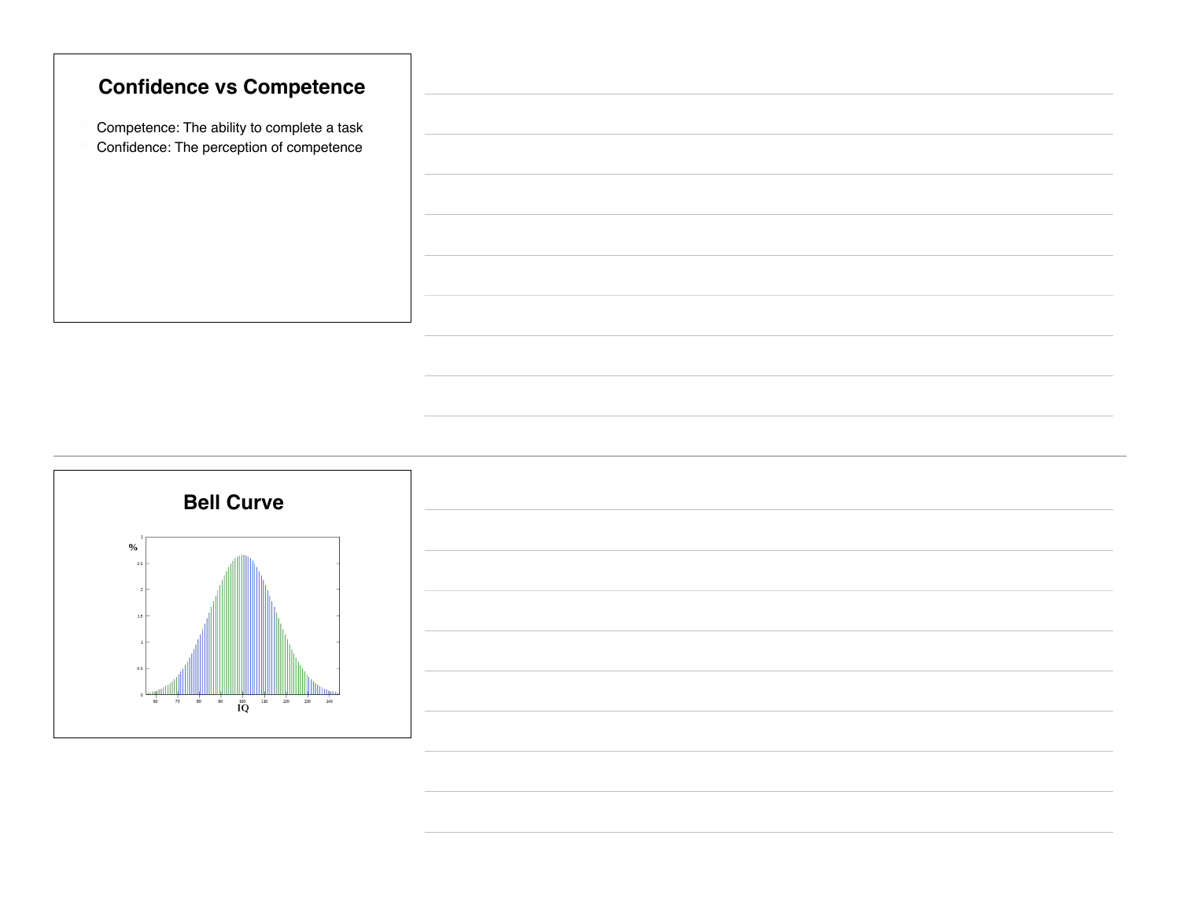

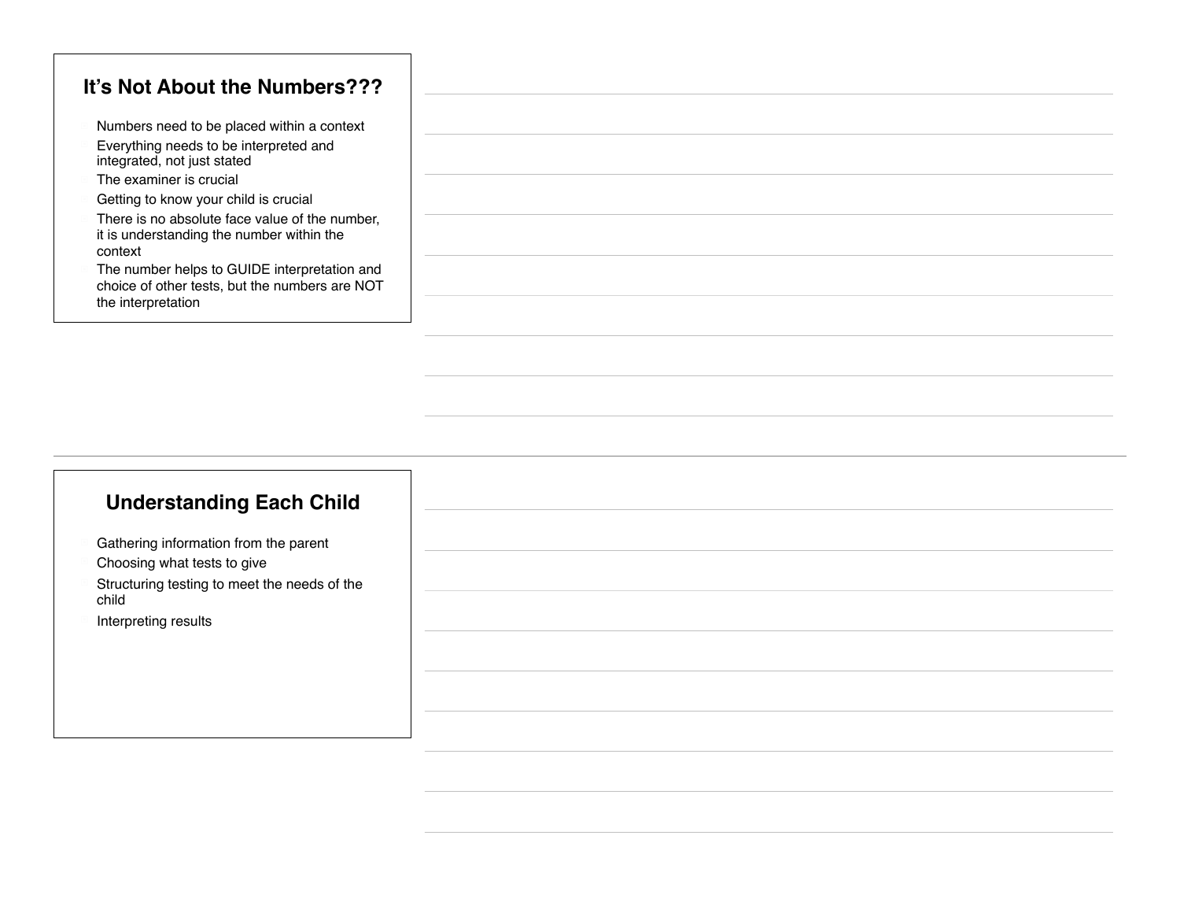#### **It's Not About the Numbers???**

- Numbers need to be placed within a context
- Everything needs to be interpreted and integrated, not just stated
- The examiner is crucial
- Getting to know your child is crucial
- There is no absolute face value of the number, it is understanding the number within the context
- The number helps to GUIDE interpretation and choice of other tests, but the numbers are NOT the interpretation

### **Understanding Each Child**

- Gathering information from the parent
- Choosing what tests to give
- Structuring testing to meet the needs of the child
- Interpreting results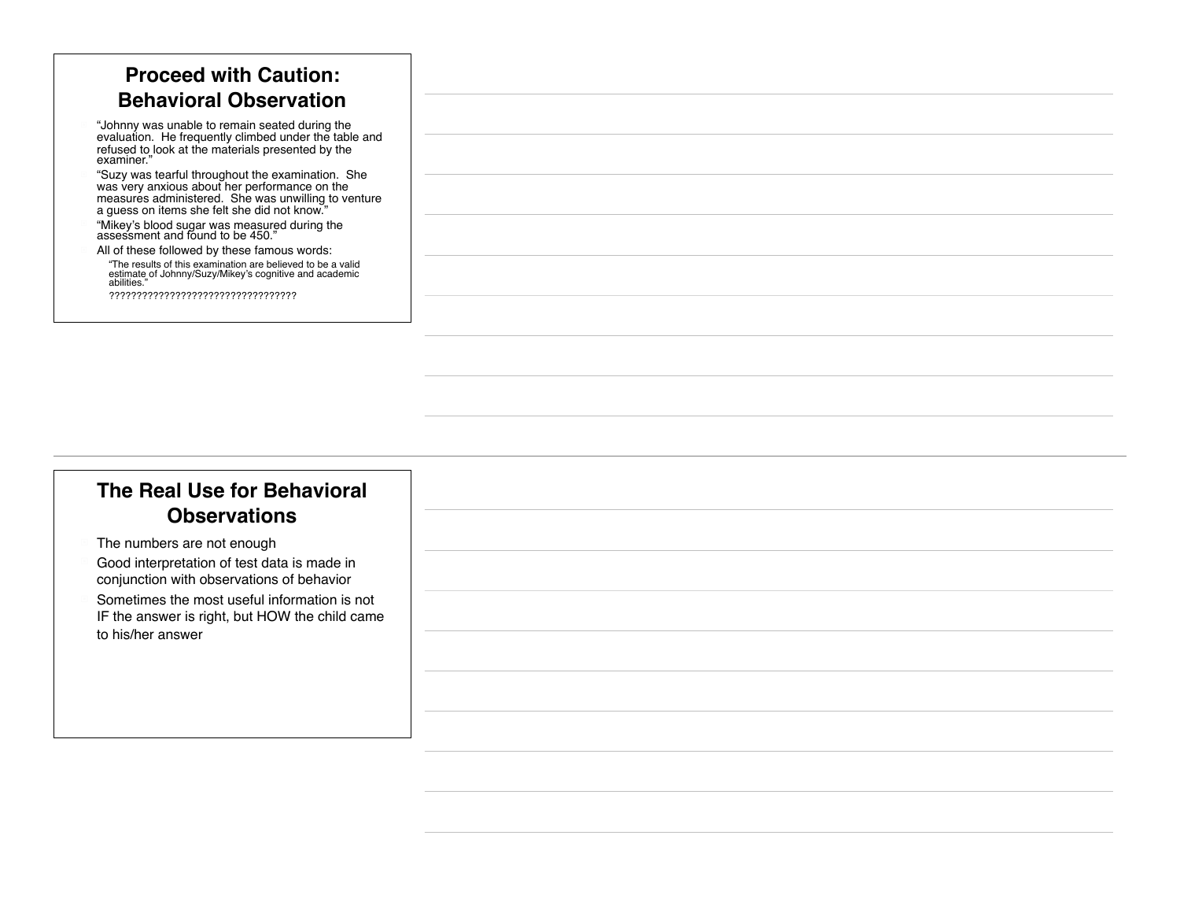| <b>Proceed with Caution:</b>                                                                                                                                                                              |
|-----------------------------------------------------------------------------------------------------------------------------------------------------------------------------------------------------------|
| <b>Behavioral Observation</b>                                                                                                                                                                             |
| "Johnny was unable to remain seated during the<br>evaluation. He frequently climbed under the table and<br>refused to look at the materials presented by the<br>examiner."                                |
| "Suzy was tearful throughout the examination. She<br>was very anxious about her performance on the<br>measures administered. She was unwilling to venture<br>a guess on items she felt she did not know." |
| "Mikey's blood sugar was measured during the<br>assessment and found to be 450."                                                                                                                          |
| All of these followed by these famous words:                                                                                                                                                              |
| "The results of this examination are believed to be a valid<br>estimate of Johnny/Suzy/Mikey's cognitive and academic<br>abilities."                                                                      |
|                                                                                                                                                                                                           |

### **The Real Use for Behavioral Observations**

- The numbers are not enough
- Good interpretation of test data is made in conjunction with observations of behavior
- Sometimes the most useful information is not IF the answer is right, but HOW the child came to his/her answer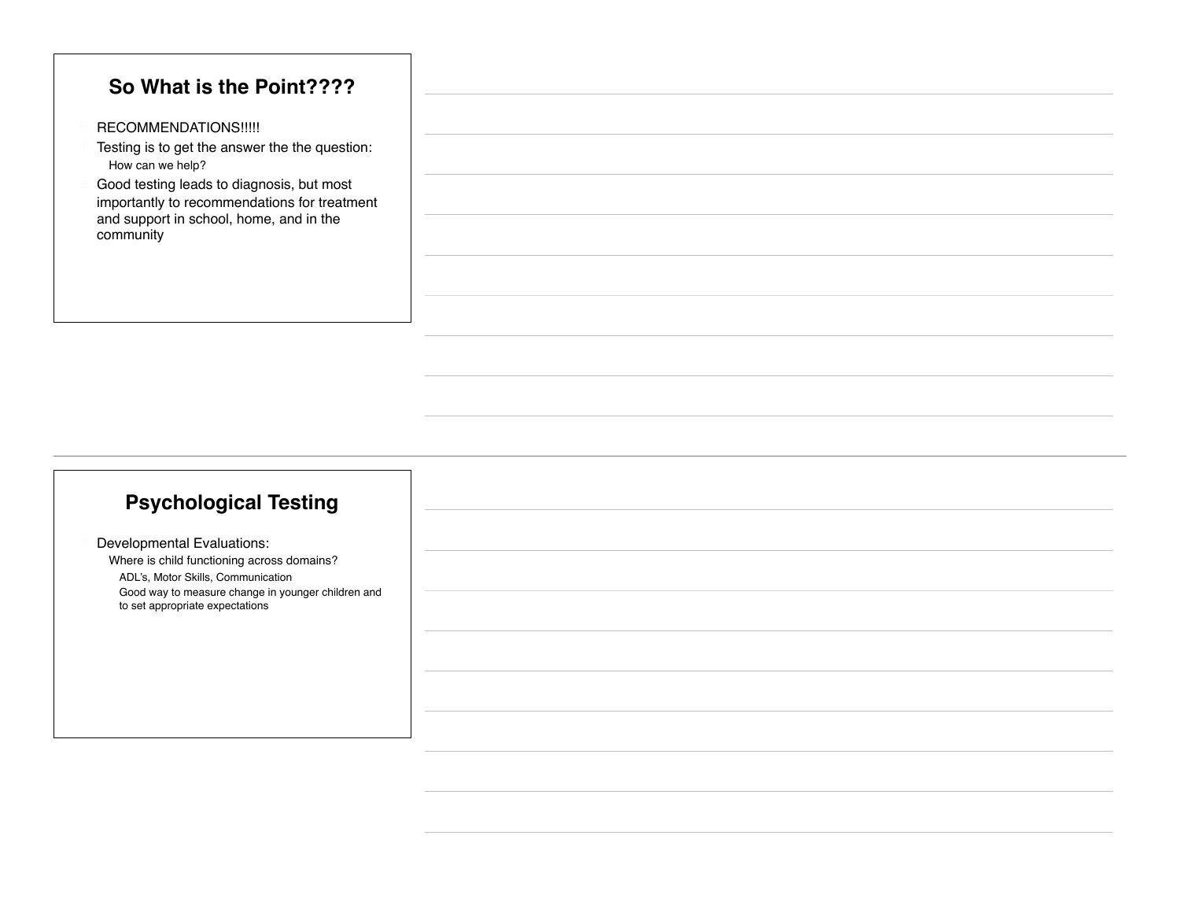#### **So What is the Point????**

- RECOMMENDATIONS!!!!!
- Testing is to get the answer the the question: How can we help?
- Good testing leads to diagnosis, but most importantly to recommendations for treatment and support in school, home, and in the community

### **Psychological Testing**

Developmental Evaluations: Where is child functioning across domains? ! ADL's, Motor Skills, Communication Good way to measure change in younger children and to set appropriate expectations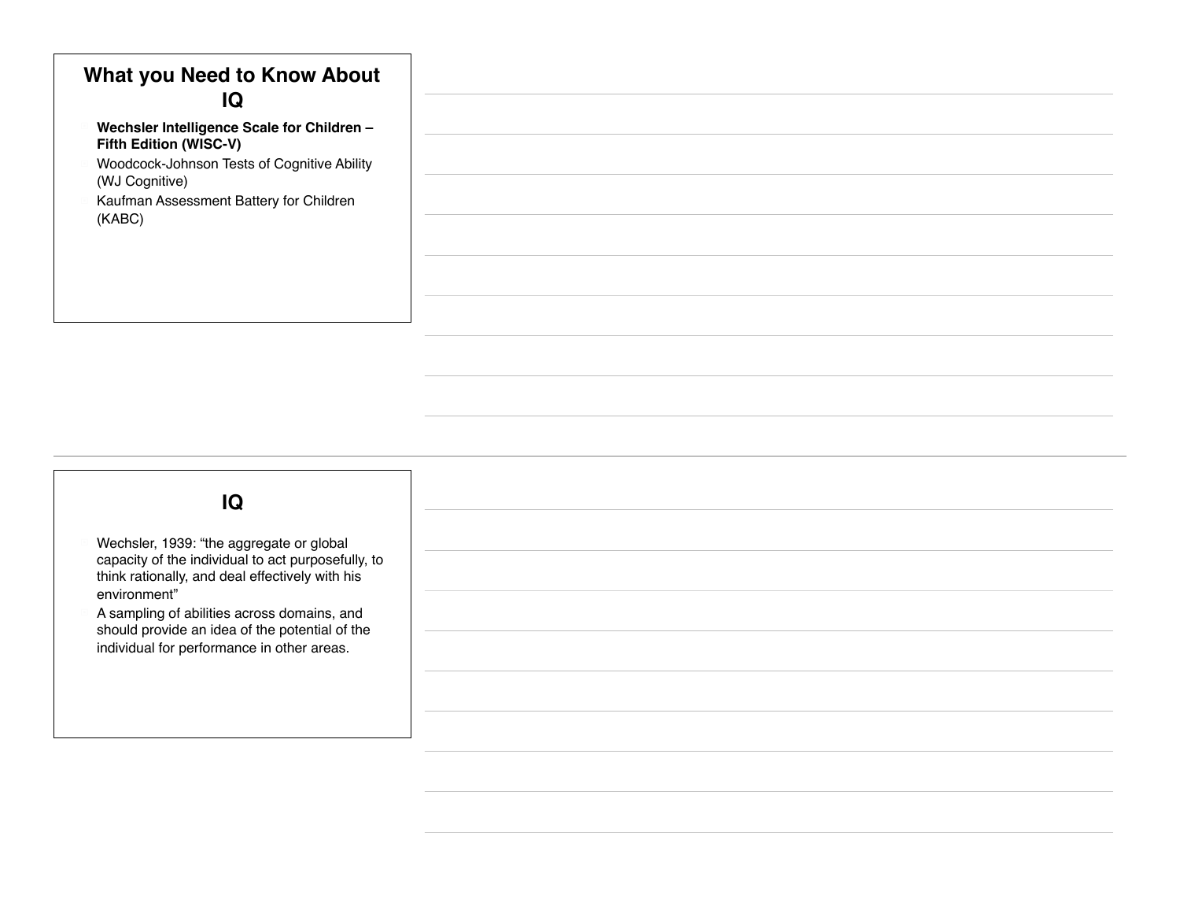### **What you Need to Know About IQ**

- ! **Wechsler Intelligence Scale for Children Fifth Edition (WISC-V)**
- ! Woodcock-Johnson Tests of Cognitive Ability (WJ Cognitive)
- Kaufman Assessment Battery for Children (KABC)

# Wechsler, 1939: "the aggregate or global capacity of the individual to act purposefully, to think rationally, and deal effectively with his environment" ! A sampling of abilities across domains, and should provide an idea of the potential of the individual for performance in other areas. **IQ**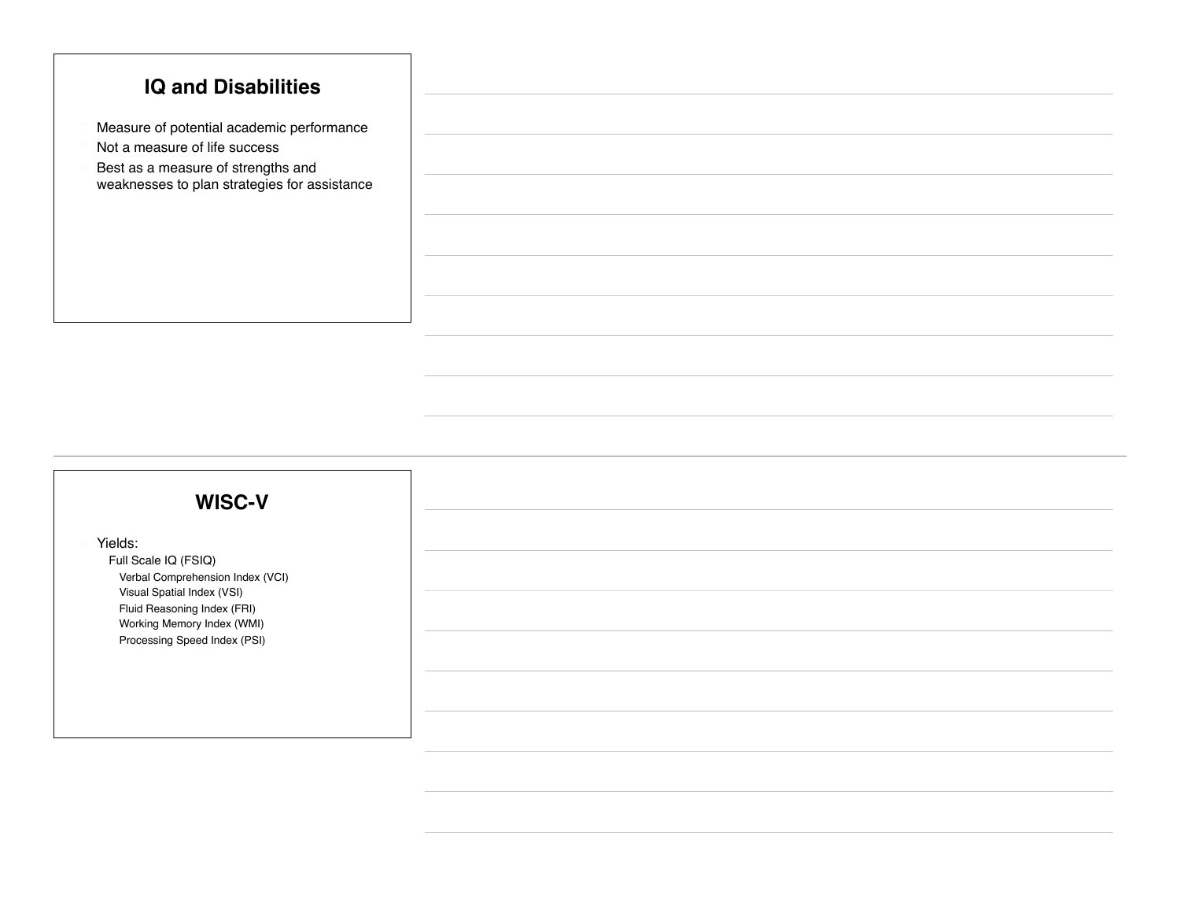#### **IQ and Disabilities**

- Measure of potential academic performance
- Not a measure of life success
- $\blacksquare$  Best as a measure of strengths and weaknesses to plan strategies for assistance

#### **WISC-V**

Yields:

Full Scale IQ (FSIQ) Verbal Comprehension Index (VCI) **Visual Spatial Index (VSI)** Fluid Reasoning Index (FRI) Working Memory Index (WMI) Processing Speed Index (PSI)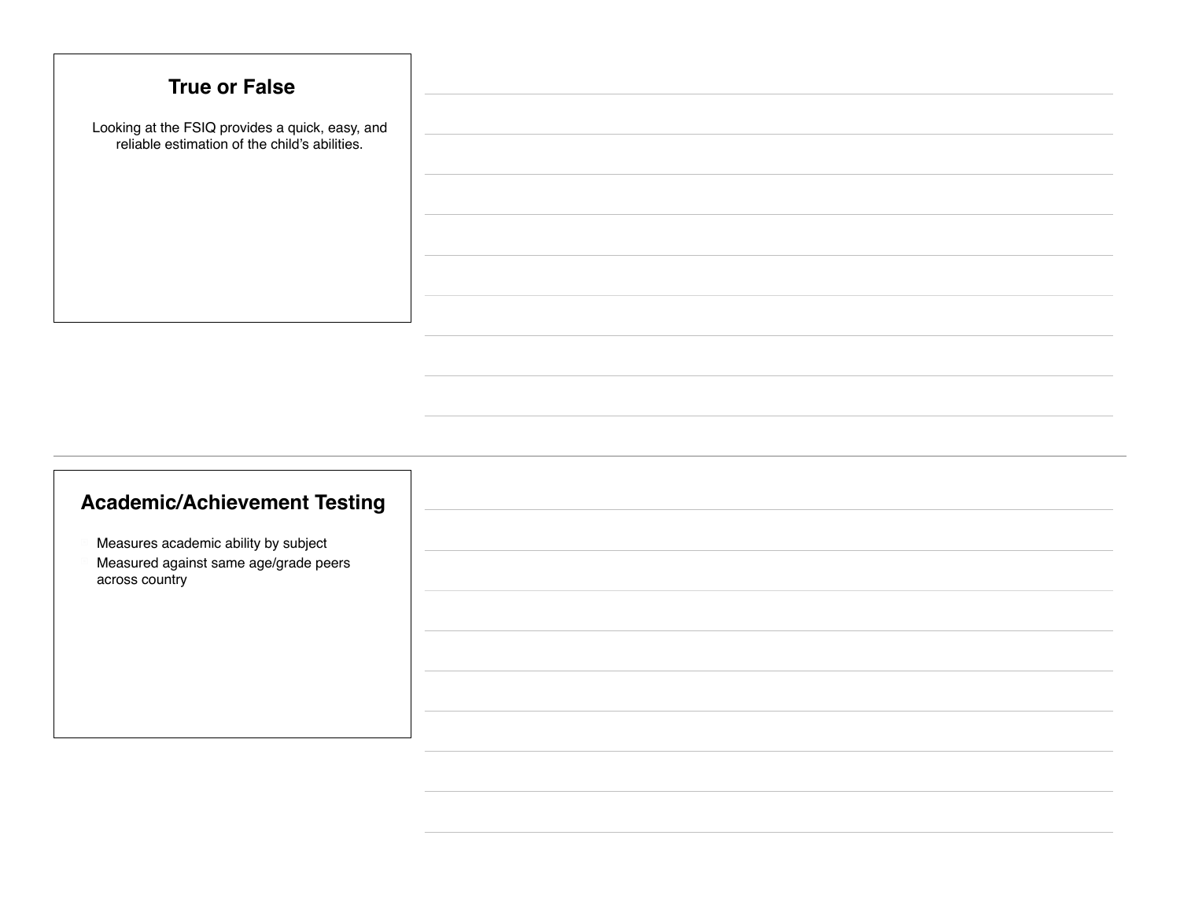| <b>True or False</b>                                                                             |
|--------------------------------------------------------------------------------------------------|
| Looking at the FSIQ provides a quick, easy, and<br>reliable estimation of the child's abilities. |
|                                                                                                  |
|                                                                                                  |
|                                                                                                  |
|                                                                                                  |

### **Academic/Achievement Testing**

- Measures academic ability by subject
- Measured against same age/grade peers across country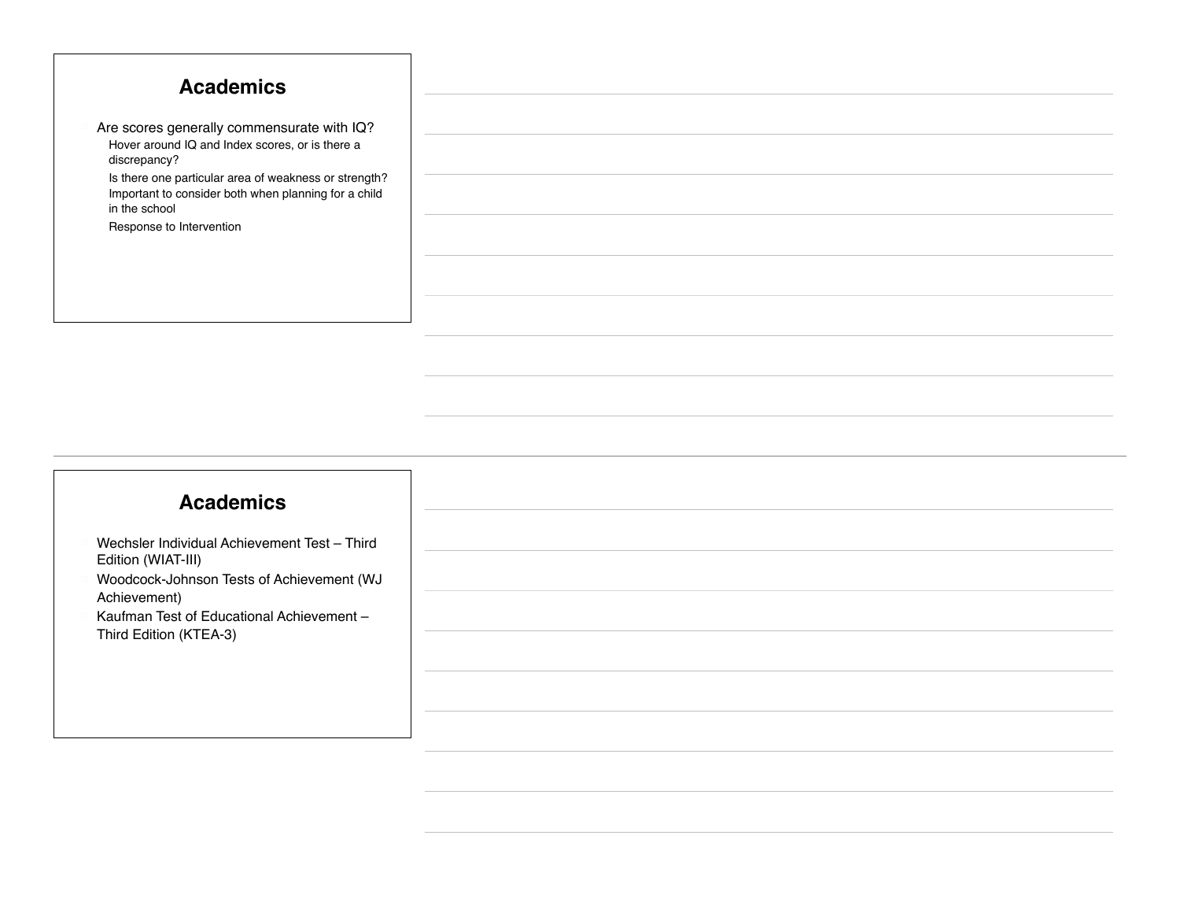| <b>Academics</b>                                                                                                               |
|--------------------------------------------------------------------------------------------------------------------------------|
|                                                                                                                                |
| Are scores generally commensurate with IQ?<br>Hover around IQ and Index scores, or is there a<br>discrepancy?                  |
| Is there one particular area of weakness or strength?<br>Important to consider both when planning for a child<br>in the school |
| Response to Intervention                                                                                                       |
|                                                                                                                                |
|                                                                                                                                |

#### **Academics**

- Wechsler Individual Achievement Test Third Edition (WIAT-III)
- ! Woodcock-Johnson Tests of Achievement (WJ Achievement)
- Kaufman Test of Educational Achievement -Third Edition (KTEA-3)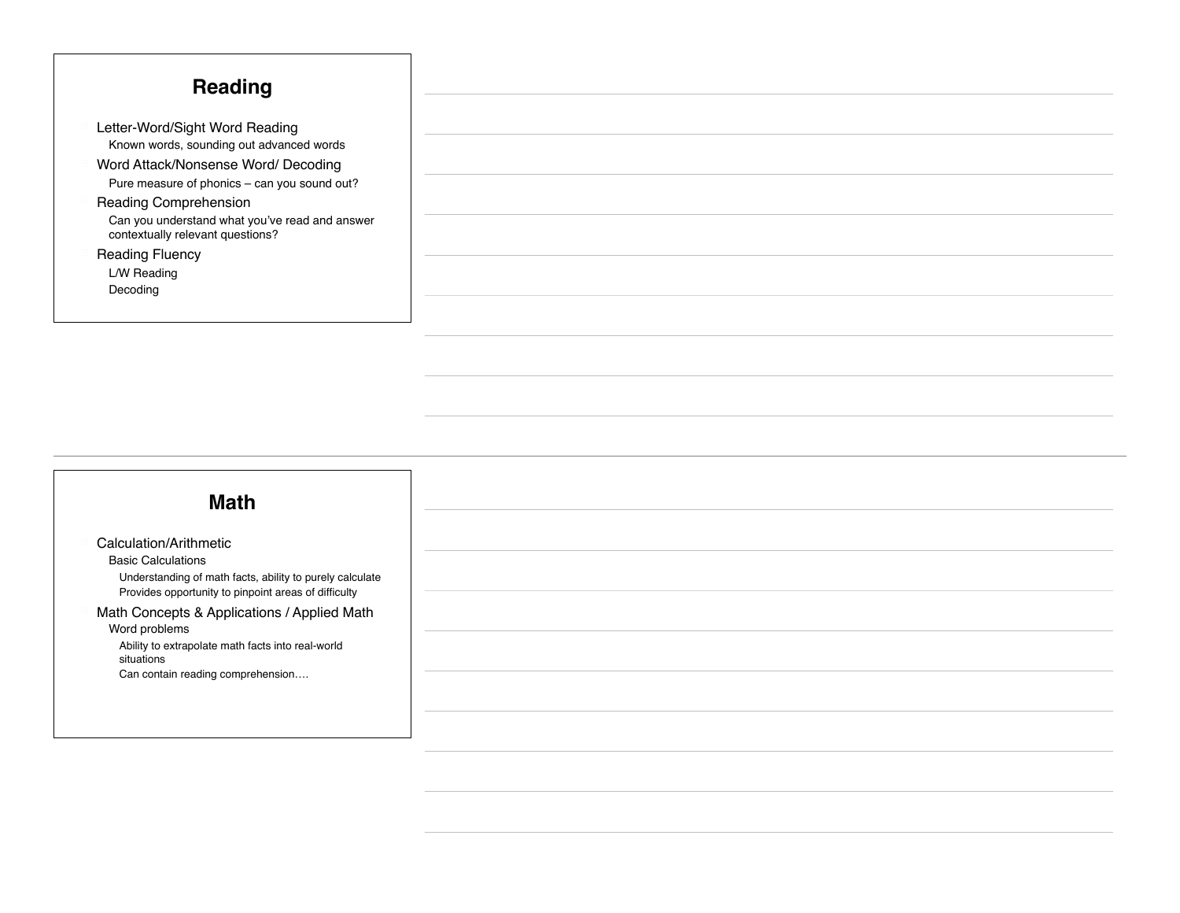| <b>Reading</b>                                                                     |
|------------------------------------------------------------------------------------|
|                                                                                    |
| Letter-Word/Sight Word Reading<br>Known words, sounding out advanced words         |
| Word Attack/Nonsense Word/ Decoding                                                |
| Pure measure of phonics - can you sound out?                                       |
| <b>Reading Comprehension</b>                                                       |
| Can you understand what you've read and answer<br>contextually relevant questions? |
| <b>Reading Fluency</b>                                                             |
| L/W Reading                                                                        |
| Decoding                                                                           |
|                                                                                    |

### Calculation/Arithmetic **Basic Calculations** ! Understanding of math facts, ability to purely calculate ! Provides opportunity to pinpoint areas of difficulty Math Concepts & Applications / Applied Math Word problems ! Ability to extrapolate math facts into real-world situations Can contain reading comprehension.... **Math**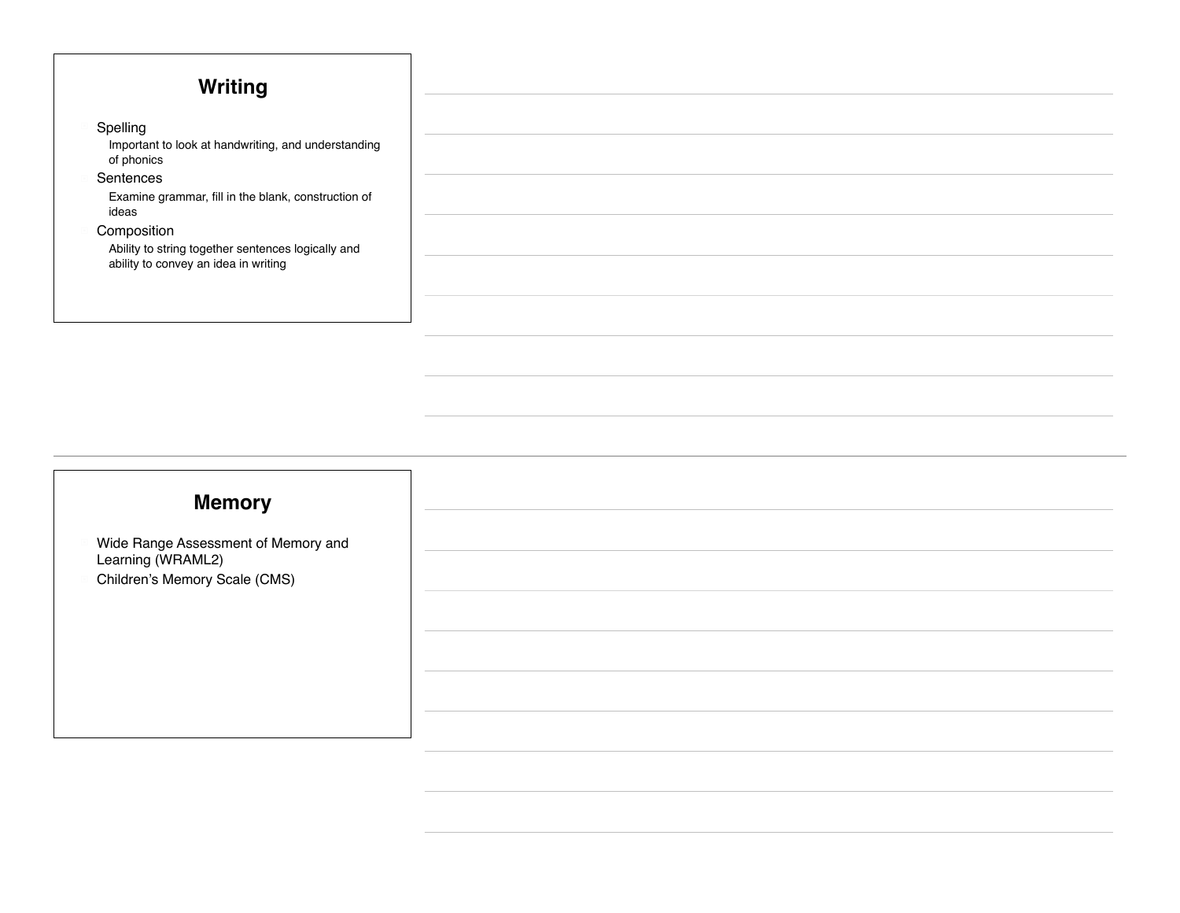| Writing                                                           |
|-------------------------------------------------------------------|
|                                                                   |
| Spelling                                                          |
| Important to look at handwriting, and understanding<br>of phonics |
| Sentences                                                         |
| Examine grammar, fill in the blank, construction of<br>ideas      |
| Composition                                                       |
| Ability to string together sentences logically and                |
| ability to convey an idea in writing                              |
|                                                                   |
|                                                                   |

### **Memory**

- Wide Range Assessment of Memory and Learning (WRAML2)
- ! Children's Memory Scale (CMS)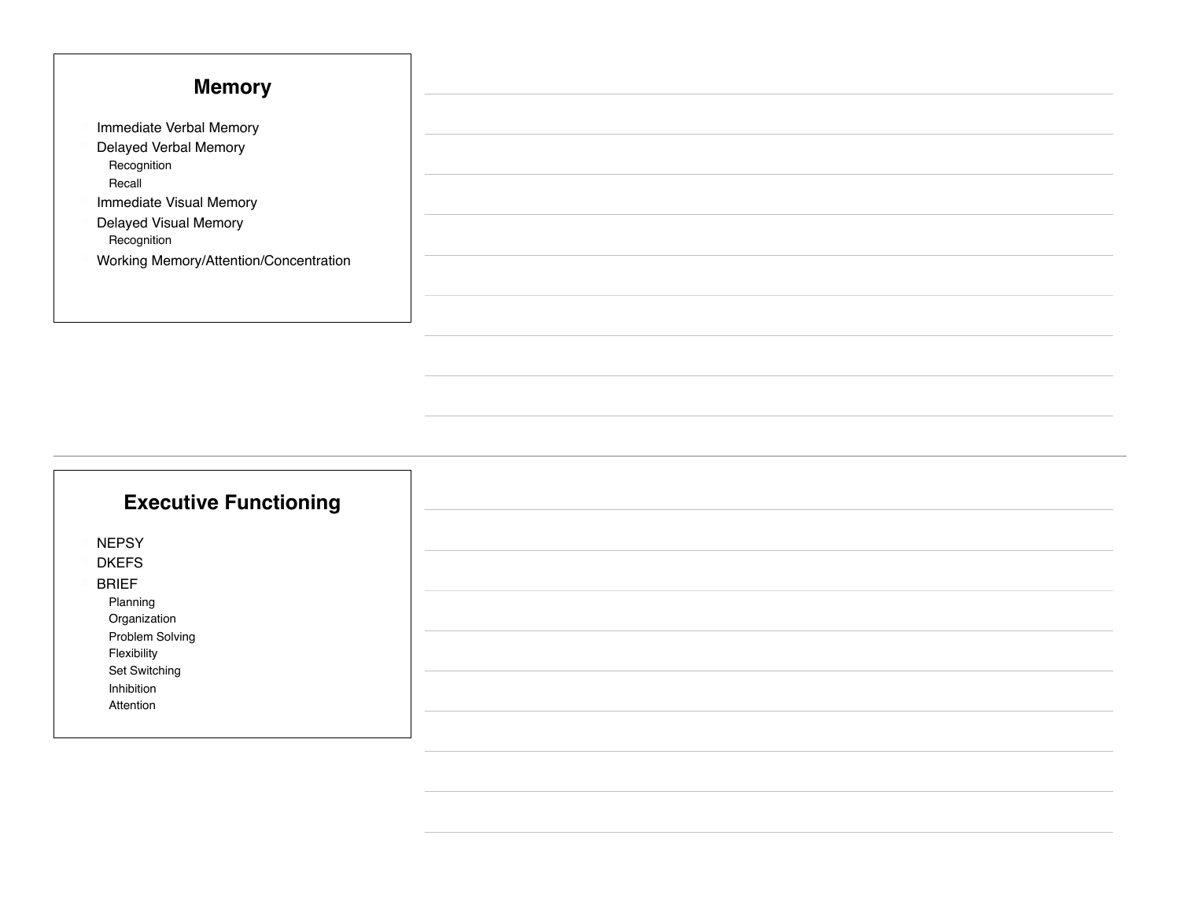| <b>Memory</b>                          |
|----------------------------------------|
|                                        |
| Immediate Verbal Memory                |
| Delayed Verbal Memory                  |
| Recognition                            |
| Recall                                 |
| Immediate Visual Memory                |
| Delayed Visual Memory                  |
| Recognition                            |
| Working Memory/Attention/Concentration |
|                                        |
|                                        |
|                                        |

### **Executive Functioning**

NEPSY

! DKEFS

! BRIEF

Planning

**Organization** 

Problem Solving **Flexibility** 

Set Switching

**Inhibition** 

**Attention**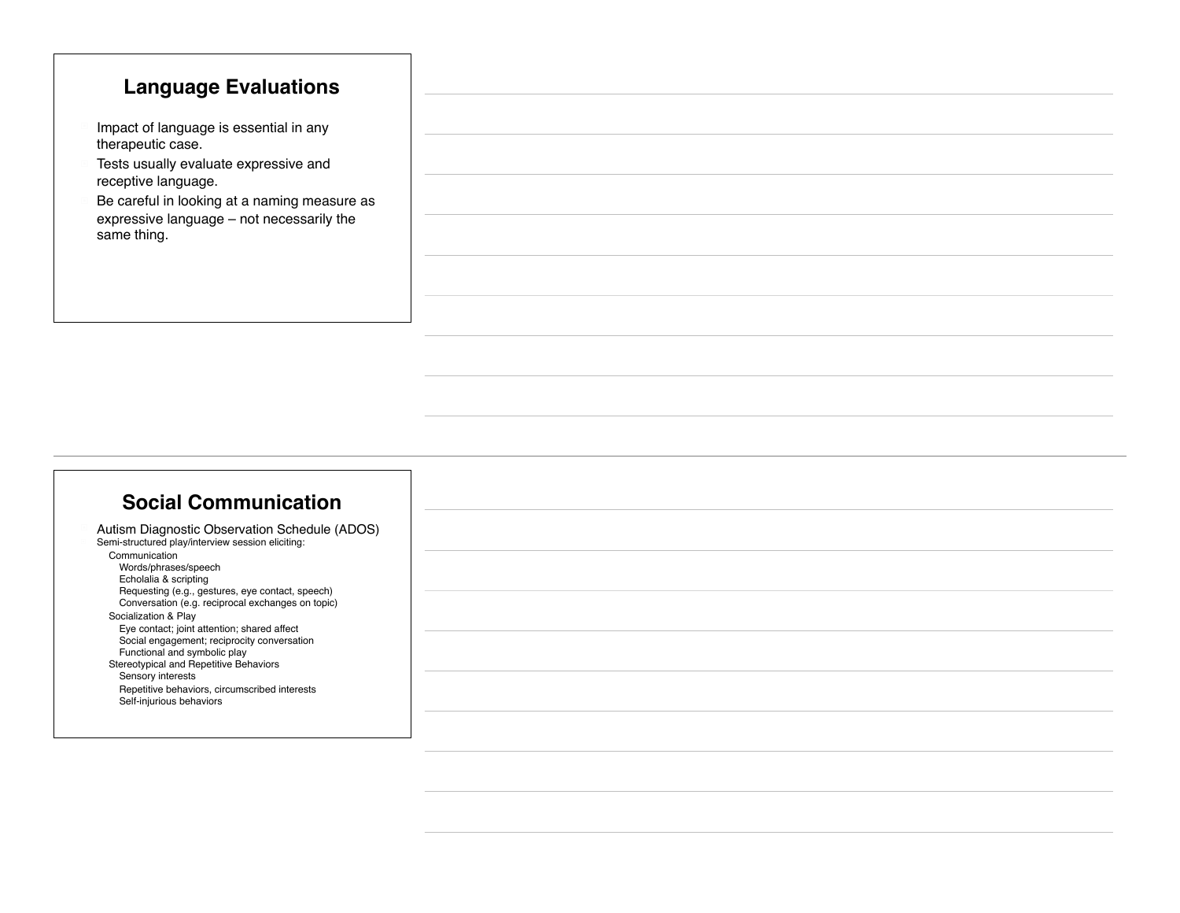### **Language Evaluations**

- $\blacksquare$  Impact of language is essential in any therapeutic case.
- Tests usually evaluate expressive and receptive language.
- Be careful in looking at a naming measure as expressive language – not necessarily the same thing.

#### **Social Communication**

| Autism Diagnostic Observation Schedule (ADOS)     |
|---------------------------------------------------|
| Semi-structured play/interview session eliciting: |
| Communication                                     |
| Words/phrases/speech                              |
| Echolalia & scripting                             |
| Requesting (e.g., gestures, eye contact, speech)  |
| Conversation (e.g. reciprocal exchanges on topic) |
| Socialization & Play                              |
| Eye contact; joint attention; shared affect       |
| Social engagement; reciprocity conversation       |
| Functional and symbolic play                      |
| Stereotypical and Repetitive Behaviors            |
| Sensory interests                                 |
| Repetitive behaviors, circumscribed interests     |
| Self-injurious behaviors                          |
|                                                   |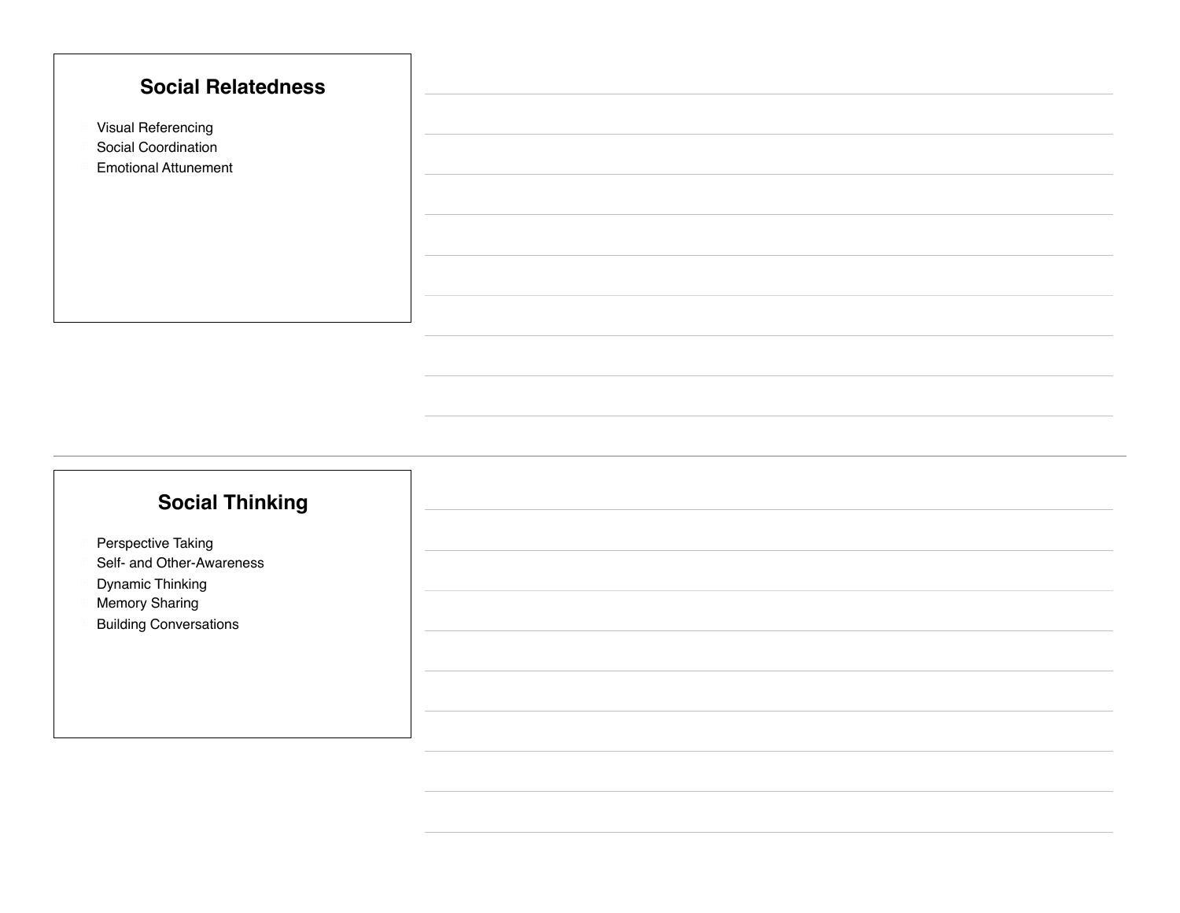

### **Social Thinking**

- Perspective Taking
- Self- and Other-Awareness
- Dynamic Thinking
- **Memory Sharing**
- **Building Conversations**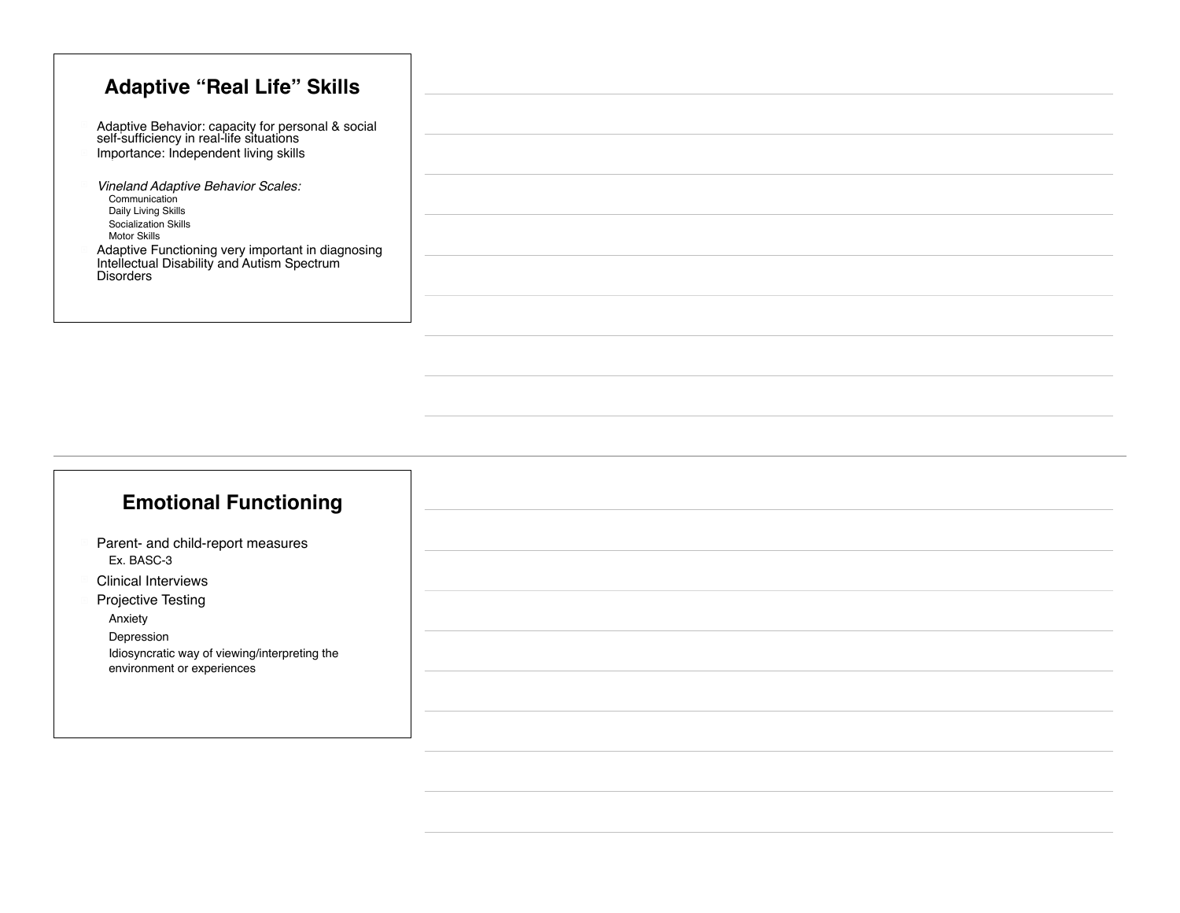| <b>Adaptive "Real Life" Skills</b>                                                                                                     |
|----------------------------------------------------------------------------------------------------------------------------------------|
|                                                                                                                                        |
| Adaptive Behavior: capacity for personal & social<br>self-sufficiency in real-life situations<br>Importance: Independent living skills |
|                                                                                                                                        |
| Vineland Adaptive Behavior Scales:<br>Communication                                                                                    |
| Daily Living Skills<br>Socialization Skills                                                                                            |
| <b>Motor Skills</b><br>Adaptive Functioning very important in diagnosing                                                               |
| Intellectual Disability and Autism Spectrum<br><b>Disorders</b>                                                                        |
|                                                                                                                                        |
|                                                                                                                                        |

### **Emotional Functioning**

- Parent- and child-report measures Ex. BASC-3
- **Clinical Interviews**
- **Projective Testing** 
	- **Anxiety**

**Depression** 

Idiosyncratic way of viewing/interpreting the environment or experiences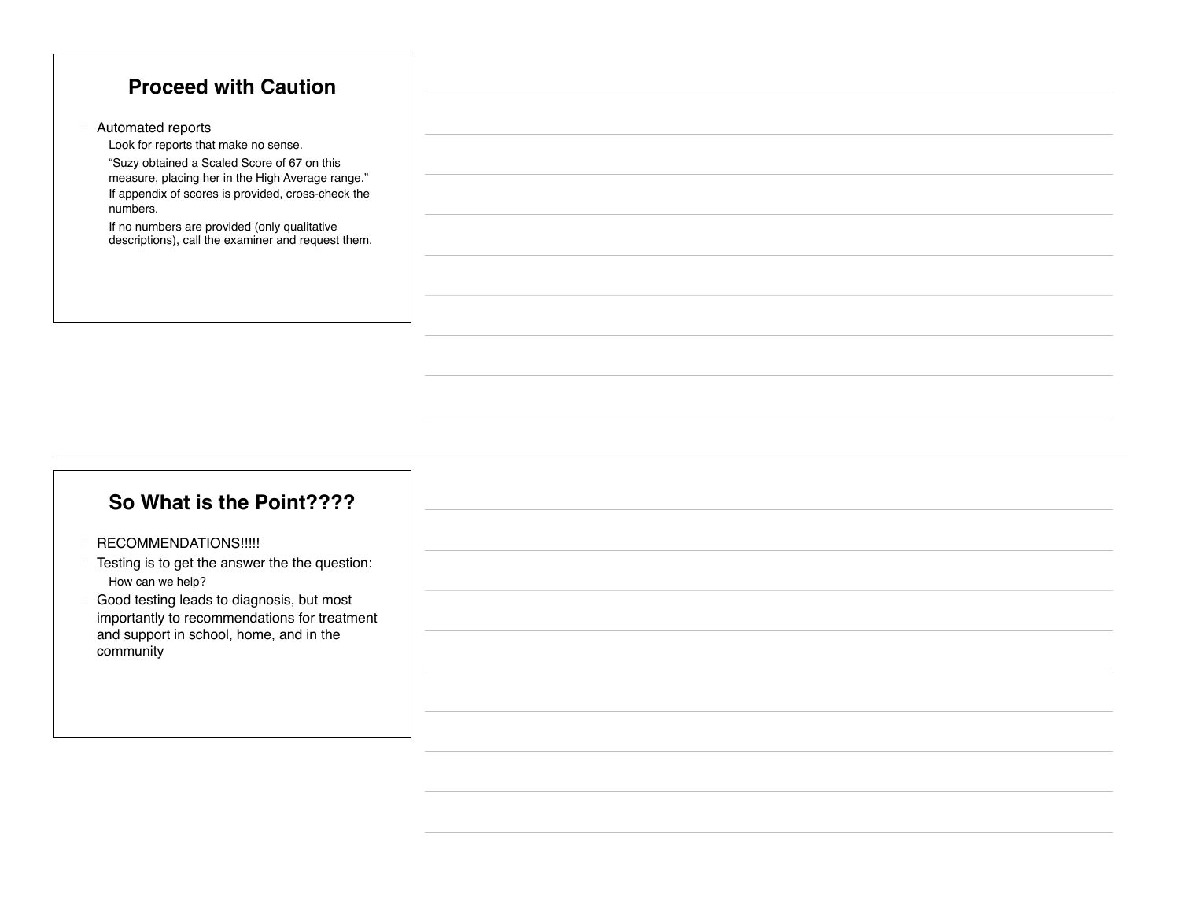#### **Proceed with Caution**

Automated reports

Look for reports that make no sense.

" "Suzy obtained a Scaled Score of 67 on this measure, placing her in the High Average range." If appendix of scores is provided, cross-check the numbers.

If no numbers are provided (only qualitative descriptions), call the examiner and request them.

#### **So What is the Point????**

#### RECOMMENDATIONS!!!!!

- Testing is to get the answer the the question: How can we help?
- Good testing leads to diagnosis, but most importantly to recommendations for treatment and support in school, home, and in the community